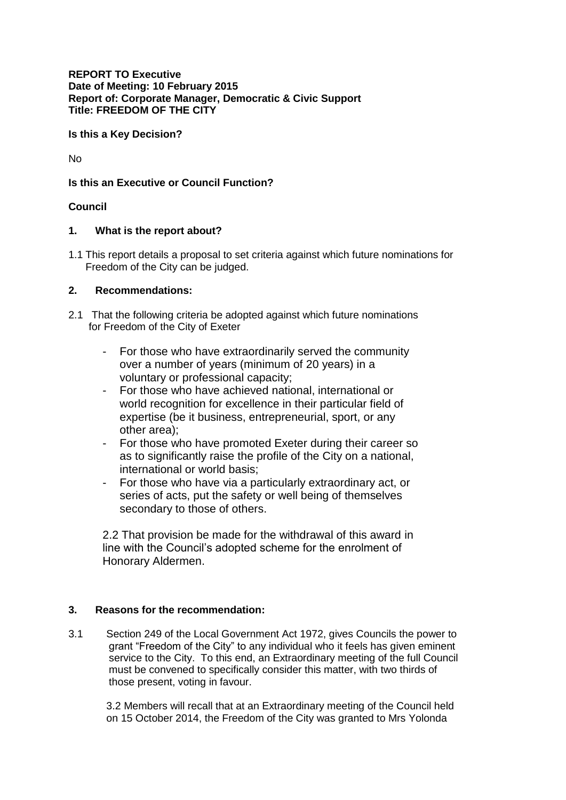**REPORT TO Executive Date of Meeting: 10 February 2015 Report of: Corporate Manager, Democratic & Civic Support Title: FREEDOM OF THE CITY**

**Is this a Key Decision?** 

No

**Is this an Executive or Council Function?**

## **Council**

### **1. What is the report about?**

1.1 This report details a proposal to set criteria against which future nominations for Freedom of the City can be judged.

## **2. Recommendations:**

- 2.1 That the following criteria be adopted against which future nominations for Freedom of the City of Exeter
	- For those who have extraordinarily served the community over a number of years (minimum of 20 years) in a voluntary or professional capacity;
	- For those who have achieved national, international or world recognition for excellence in their particular field of expertise (be it business, entrepreneurial, sport, or any other area);
	- For those who have promoted Exeter during their career so as to significantly raise the profile of the City on a national, international or world basis;
	- For those who have via a particularly extraordinary act, or series of acts, put the safety or well being of themselves secondary to those of others.

2.2 That provision be made for the withdrawal of this award in line with the Council's adopted scheme for the enrolment of Honorary Aldermen.

# **3. Reasons for the recommendation:**

3.1 Section 249 of the Local Government Act 1972, gives Councils the power to grant "Freedom of the City" to any individual who it feels has given eminent service to the City. To this end, an Extraordinary meeting of the full Council must be convened to specifically consider this matter, with two thirds of those present, voting in favour.

3.2 Members will recall that at an Extraordinary meeting of the Council held on 15 October 2014, the Freedom of the City was granted to Mrs Yolonda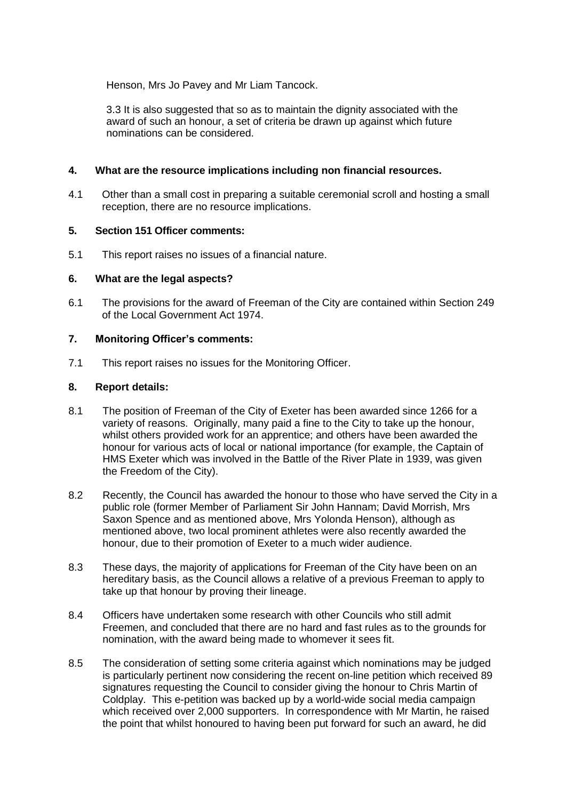Henson, Mrs Jo Pavey and Mr Liam Tancock.

3.3 It is also suggested that so as to maintain the dignity associated with the award of such an honour, a set of criteria be drawn up against which future nominations can be considered.

## **4. What are the resource implications including non financial resources.**

4.1 Other than a small cost in preparing a suitable ceremonial scroll and hosting a small reception, there are no resource implications.

### **5. Section 151 Officer comments:**

5.1 This report raises no issues of a financial nature.

## **6. What are the legal aspects?**

6.1 The provisions for the award of Freeman of the City are contained within Section 249 of the Local Government Act 1974.

### **7. Monitoring Officer's comments:**

7.1 This report raises no issues for the Monitoring Officer.

### **8. Report details:**

- 8.1 The position of Freeman of the City of Exeter has been awarded since 1266 for a variety of reasons. Originally, many paid a fine to the City to take up the honour, whilst others provided work for an apprentice; and others have been awarded the honour for various acts of local or national importance (for example, the Captain of HMS Exeter which was involved in the Battle of the River Plate in 1939, was given the Freedom of the City).
- 8.2 Recently, the Council has awarded the honour to those who have served the City in a public role (former Member of Parliament Sir John Hannam; David Morrish, Mrs Saxon Spence and as mentioned above, Mrs Yolonda Henson), although as mentioned above, two local prominent athletes were also recently awarded the honour, due to their promotion of Exeter to a much wider audience.
- 8.3 These days, the majority of applications for Freeman of the City have been on an hereditary basis, as the Council allows a relative of a previous Freeman to apply to take up that honour by proving their lineage.
- 8.4 Officers have undertaken some research with other Councils who still admit Freemen, and concluded that there are no hard and fast rules as to the grounds for nomination, with the award being made to whomever it sees fit.
- 8.5 The consideration of setting some criteria against which nominations may be judged is particularly pertinent now considering the recent on-line petition which received 89 signatures requesting the Council to consider giving the honour to Chris Martin of Coldplay. This e-petition was backed up by a world-wide social media campaign which received over 2,000 supporters. In correspondence with Mr Martin, he raised the point that whilst honoured to having been put forward for such an award, he did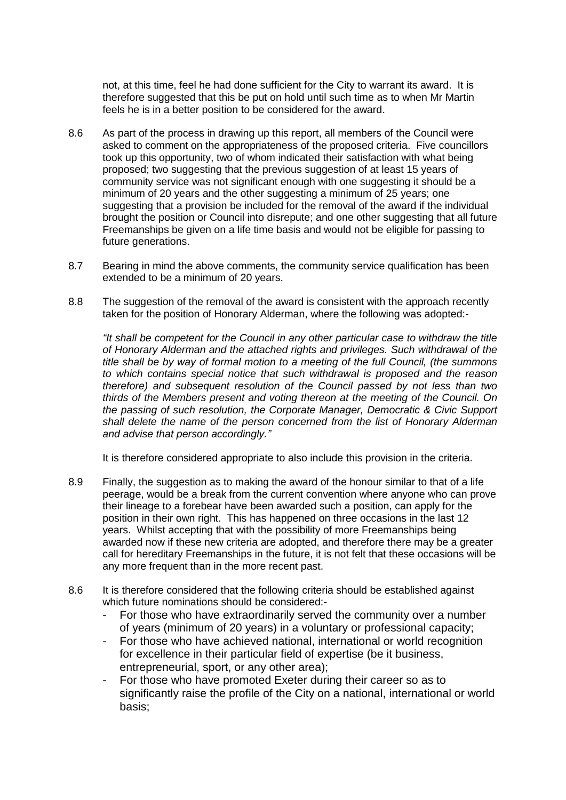not, at this time, feel he had done sufficient for the City to warrant its award. It is therefore suggested that this be put on hold until such time as to when Mr Martin feels he is in a better position to be considered for the award.

- 8.6 As part of the process in drawing up this report, all members of the Council were asked to comment on the appropriateness of the proposed criteria. Five councillors took up this opportunity, two of whom indicated their satisfaction with what being proposed; two suggesting that the previous suggestion of at least 15 years of community service was not significant enough with one suggesting it should be a minimum of 20 years and the other suggesting a minimum of 25 years; one suggesting that a provision be included for the removal of the award if the individual brought the position or Council into disrepute; and one other suggesting that all future Freemanships be given on a life time basis and would not be eligible for passing to future generations.
- 8.7 Bearing in mind the above comments, the community service qualification has been extended to be a minimum of 20 years.
- 8.8 The suggestion of the removal of the award is consistent with the approach recently taken for the position of Honorary Alderman, where the following was adopted:-

*"It shall be competent for the Council in any other particular case to withdraw the title of Honorary Alderman and the attached rights and privileges. Such withdrawal of the title shall be by way of formal motion to a meeting of the full Council, (the summons to which contains special notice that such withdrawal is proposed and the reason therefore) and subsequent resolution of the Council passed by not less than two thirds of the Members present and voting thereon at the meeting of the Council. On the passing of such resolution, the Corporate Manager, Democratic & Civic Support shall delete the name of the person concerned from the list of Honorary Alderman and advise that person accordingly."*

It is therefore considered appropriate to also include this provision in the criteria.

- 8.9 Finally, the suggestion as to making the award of the honour similar to that of a life peerage, would be a break from the current convention where anyone who can prove their lineage to a forebear have been awarded such a position, can apply for the position in their own right. This has happened on three occasions in the last 12 years. Whilst accepting that with the possibility of more Freemanships being awarded now if these new criteria are adopted, and therefore there may be a greater call for hereditary Freemanships in the future, it is not felt that these occasions will be any more frequent than in the more recent past.
- 8.6 It is therefore considered that the following criteria should be established against which future nominations should be considered:-
	- For those who have extraordinarily served the community over a number of years (minimum of 20 years) in a voluntary or professional capacity;
	- For those who have achieved national, international or world recognition for excellence in their particular field of expertise (be it business, entrepreneurial, sport, or any other area);
	- For those who have promoted Exeter during their career so as to significantly raise the profile of the City on a national, international or world basis;